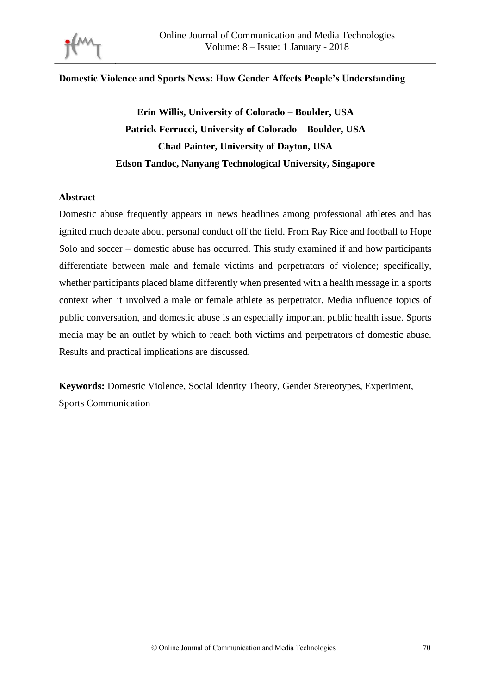

### **Domestic Violence and Sports News: How Gender Affects People's Understanding**

# **Erin Willis, University of Colorado – Boulder, USA Patrick Ferrucci, University of Colorado – Boulder, USA Chad Painter, University of Dayton, USA Edson Tandoc, Nanyang Technological University, Singapore**

### **Abstract**

Domestic abuse frequently appears in news headlines among professional athletes and has ignited much debate about personal conduct off the field. From Ray Rice and football to Hope Solo and soccer – domestic abuse has occurred. This study examined if and how participants differentiate between male and female victims and perpetrators of violence; specifically, whether participants placed blame differently when presented with a health message in a sports context when it involved a male or female athlete as perpetrator. Media influence topics of public conversation, and domestic abuse is an especially important public health issue. Sports media may be an outlet by which to reach both victims and perpetrators of domestic abuse. Results and practical implications are discussed.

**Keywords:** Domestic Violence, Social Identity Theory, Gender Stereotypes, Experiment, Sports Communication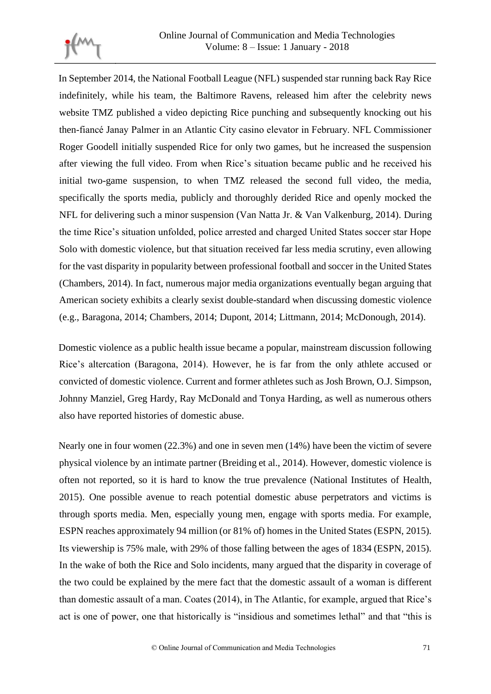

In September 2014, the National Football League (NFL) suspended star running back Ray Rice indefinitely, while his team, the Baltimore Ravens, released him after the celebrity news website TMZ published a video depicting Rice punching and subsequently knocking out his then-fiancé Janay Palmer in an Atlantic City casino elevator in February. NFL Commissioner Roger Goodell initially suspended Rice for only two games, but he increased the suspension after viewing the full video. From when Rice's situation became public and he received his initial two-game suspension, to when TMZ released the second full video, the media, specifically the sports media, publicly and thoroughly derided Rice and openly mocked the NFL for delivering such a minor suspension (Van Natta Jr. & Van Valkenburg, 2014). During the time Rice's situation unfolded, police arrested and charged United States soccer star Hope Solo with domestic violence, but that situation received far less media scrutiny, even allowing for the vast disparity in popularity between professional football and soccer in the United States (Chambers, 2014). In fact, numerous major media organizations eventually began arguing that American society exhibits a clearly sexist double-standard when discussing domestic violence (e.g., Baragona, 2014; Chambers, 2014; Dupont, 2014; Littmann, 2014; McDonough, 2014).

Domestic violence as a public health issue became a popular, mainstream discussion following Rice's altercation (Baragona, 2014). However, he is far from the only athlete accused or convicted of domestic violence. Current and former athletes such as Josh Brown, O.J. Simpson, Johnny Manziel, Greg Hardy, Ray McDonald and Tonya Harding, as well as numerous others also have reported histories of domestic abuse.

Nearly one in four women (22.3%) and one in seven men (14%) have been the victim of severe physical violence by an intimate partner (Breiding et al., 2014). However, domestic violence is often not reported, so it is hard to know the true prevalence (National Institutes of Health, 2015). One possible avenue to reach potential domestic abuse perpetrators and victims is through sports media. Men, especially young men, engage with sports media. For example, ESPN reaches approximately 94 million (or 81% of) homes in the United States (ESPN, 2015). Its viewership is 75% male, with 29% of those falling between the ages of 1834 (ESPN, 2015). In the wake of both the Rice and Solo incidents, many argued that the disparity in coverage of the two could be explained by the mere fact that the domestic assault of a woman is different than domestic assault of a man. Coates (2014), in The Atlantic, for example, argued that Rice's act is one of power, one that historically is "insidious and sometimes lethal" and that "this is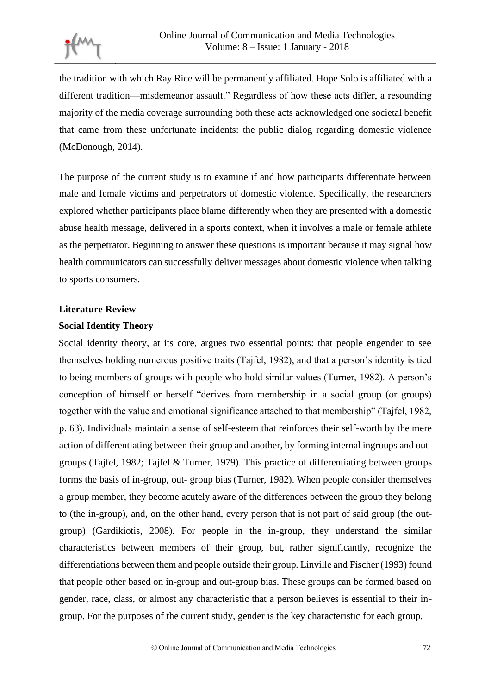the tradition with which Ray Rice will be permanently affiliated. Hope Solo is affiliated with a different tradition—misdemeanor assault." Regardless of how these acts differ, a resounding majority of the media coverage surrounding both these acts acknowledged one societal benefit that came from these unfortunate incidents: the public dialog regarding domestic violence (McDonough, 2014).

The purpose of the current study is to examine if and how participants differentiate between male and female victims and perpetrators of domestic violence. Specifically, the researchers explored whether participants place blame differently when they are presented with a domestic abuse health message, delivered in a sports context, when it involves a male or female athlete as the perpetrator. Beginning to answer these questions is important because it may signal how health communicators can successfully deliver messages about domestic violence when talking to sports consumers.

### **Literature Review**

### **Social Identity Theory**

Social identity theory, at its core, argues two essential points: that people engender to see themselves holding numerous positive traits (Tajfel, 1982), and that a person's identity is tied to being members of groups with people who hold similar values (Turner, 1982). A person's conception of himself or herself "derives from membership in a social group (or groups) together with the value and emotional significance attached to that membership" (Tajfel, 1982, p. 63). Individuals maintain a sense of self-esteem that reinforces their self-worth by the mere action of differentiating between their group and another, by forming internal ingroups and outgroups (Tajfel, 1982; Tajfel & Turner, 1979). This practice of differentiating between groups forms the basis of in-group, out- group bias (Turner, 1982). When people consider themselves a group member, they become acutely aware of the differences between the group they belong to (the in-group), and, on the other hand, every person that is not part of said group (the outgroup) (Gardikiotis, 2008). For people in the in-group, they understand the similar characteristics between members of their group, but, rather significantly, recognize the differentiations between them and people outside their group. Linville and Fischer (1993) found that people other based on in-group and out-group bias. These groups can be formed based on gender, race, class, or almost any characteristic that a person believes is essential to their ingroup. For the purposes of the current study, gender is the key characteristic for each group.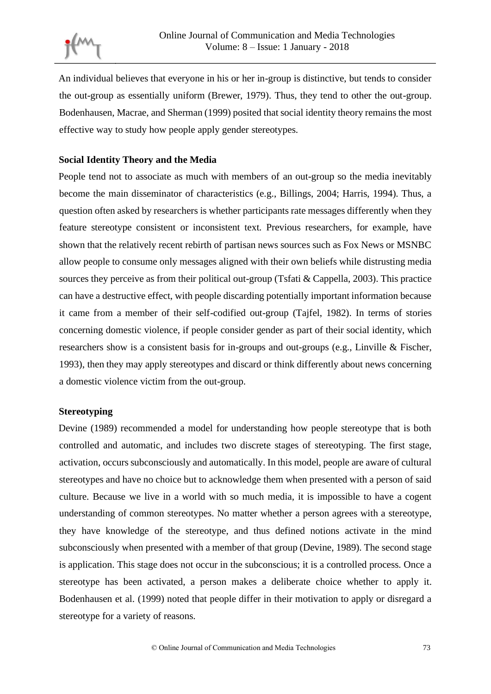

An individual believes that everyone in his or her in-group is distinctive, but tends to consider the out-group as essentially uniform (Brewer, 1979). Thus, they tend to other the out-group. Bodenhausen, Macrae, and Sherman (1999) posited that social identity theory remains the most effective way to study how people apply gender stereotypes.

# **Social Identity Theory and the Media**

People tend not to associate as much with members of an out-group so the media inevitably become the main disseminator of characteristics (e.g., Billings, 2004; Harris, 1994). Thus, a question often asked by researchers is whether participants rate messages differently when they feature stereotype consistent or inconsistent text. Previous researchers, for example, have shown that the relatively recent rebirth of partisan news sources such as Fox News or MSNBC allow people to consume only messages aligned with their own beliefs while distrusting media sources they perceive as from their political out-group (Tsfati & Cappella, 2003). This practice can have a destructive effect, with people discarding potentially important information because it came from a member of their self-codified out-group (Tajfel, 1982). In terms of stories concerning domestic violence, if people consider gender as part of their social identity, which researchers show is a consistent basis for in-groups and out-groups (e.g., Linville & Fischer, 1993), then they may apply stereotypes and discard or think differently about news concerning a domestic violence victim from the out-group.

### **Stereotyping**

Devine (1989) recommended a model for understanding how people stereotype that is both controlled and automatic, and includes two discrete stages of stereotyping. The first stage, activation, occurs subconsciously and automatically. In this model, people are aware of cultural stereotypes and have no choice but to acknowledge them when presented with a person of said culture. Because we live in a world with so much media, it is impossible to have a cogent understanding of common stereotypes. No matter whether a person agrees with a stereotype, they have knowledge of the stereotype, and thus defined notions activate in the mind subconsciously when presented with a member of that group (Devine, 1989). The second stage is application. This stage does not occur in the subconscious; it is a controlled process. Once a stereotype has been activated, a person makes a deliberate choice whether to apply it. Bodenhausen et al. (1999) noted that people differ in their motivation to apply or disregard a stereotype for a variety of reasons.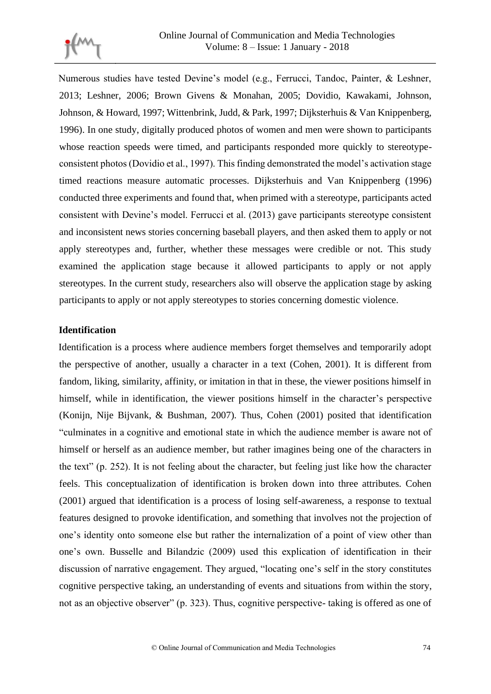

Numerous studies have tested Devine's model (e.g., Ferrucci, Tandoc, Painter, & Leshner, 2013; Leshner, 2006; Brown Givens & Monahan, 2005; Dovidio, Kawakami, Johnson, Johnson, & Howard, 1997; Wittenbrink, Judd, & Park, 1997; Dijksterhuis & Van Knippenberg, 1996). In one study, digitally produced photos of women and men were shown to participants whose reaction speeds were timed, and participants responded more quickly to stereotypeconsistent photos (Dovidio et al., 1997). This finding demonstrated the model's activation stage timed reactions measure automatic processes. Dijksterhuis and Van Knippenberg (1996) conducted three experiments and found that, when primed with a stereotype, participants acted consistent with Devine's model. Ferrucci et al. (2013) gave participants stereotype consistent and inconsistent news stories concerning baseball players, and then asked them to apply or not apply stereotypes and, further, whether these messages were credible or not. This study examined the application stage because it allowed participants to apply or not apply stereotypes. In the current study, researchers also will observe the application stage by asking participants to apply or not apply stereotypes to stories concerning domestic violence.

### **Identification**

Identification is a process where audience members forget themselves and temporarily adopt the perspective of another, usually a character in a text (Cohen, 2001). It is different from fandom, liking, similarity, affinity, or imitation in that in these, the viewer positions himself in himself, while in identification, the viewer positions himself in the character's perspective (Konijn, Nije Bijvank, & Bushman, 2007). Thus, Cohen (2001) posited that identification "culminates in a cognitive and emotional state in which the audience member is aware not of himself or herself as an audience member, but rather imagines being one of the characters in the text" (p. 252). It is not feeling about the character, but feeling just like how the character feels. This conceptualization of identification is broken down into three attributes. Cohen (2001) argued that identification is a process of losing self-awareness, a response to textual features designed to provoke identification, and something that involves not the projection of one's identity onto someone else but rather the internalization of a point of view other than one's own. Busselle and Bilandzic (2009) used this explication of identification in their discussion of narrative engagement. They argued, "locating one's self in the story constitutes cognitive perspective taking, an understanding of events and situations from within the story, not as an objective observer" (p. 323). Thus, cognitive perspective- taking is offered as one of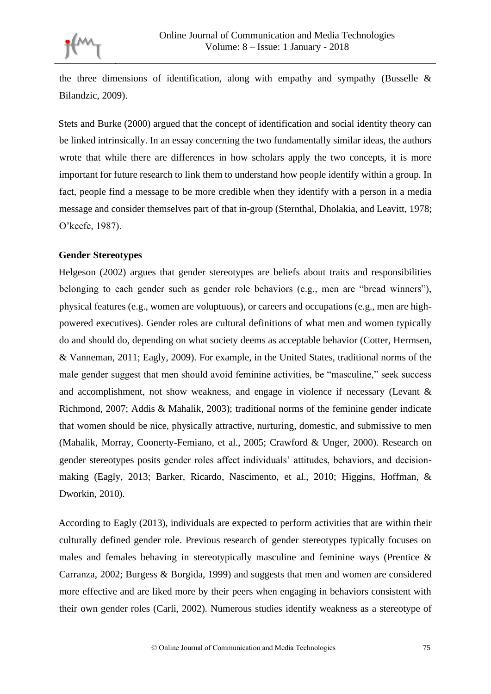the three dimensions of identification, along with empathy and sympathy (Busselle  $\&$ Bilandzic, 2009).

Stets and Burke (2000) argued that the concept of identification and social identity theory can be linked intrinsically. In an essay concerning the two fundamentally similar ideas, the authors wrote that while there are differences in how scholars apply the two concepts, it is more important for future research to link them to understand how people identify within a group. In fact, people find a message to be more credible when they identify with a person in a media message and consider themselves part of that in-group (Sternthal, Dholakia, and Leavitt, 1978; O'keefe, 1987).

# **Gender Stereotypes**

Helgeson (2002) argues that gender stereotypes are beliefs about traits and responsibilities belonging to each gender such as gender role behaviors (e.g., men are "bread winners"), physical features (e.g., women are voluptuous), or careers and occupations (e.g., men are highpowered executives). Gender roles are cultural definitions of what men and women typically do and should do, depending on what society deems as acceptable behavior (Cotter, Hermsen, & Vanneman, 2011; Eagly, 2009). For example, in the United States, traditional norms of the male gender suggest that men should avoid feminine activities, be "masculine," seek success and accomplishment, not show weakness, and engage in violence if necessary (Levant & Richmond, 2007; Addis & Mahalik, 2003); traditional norms of the feminine gender indicate that women should be nice, physically attractive, nurturing, domestic, and submissive to men (Mahalik, Morray, Coonerty-Femiano, et al., 2005; Crawford & Unger, 2000). Research on gender stereotypes posits gender roles affect individuals' attitudes, behaviors, and decisionmaking (Eagly, 2013; Barker, Ricardo, Nascimento, et al., 2010; Higgins, Hoffman, & Dworkin, 2010).

According to Eagly (2013), individuals are expected to perform activities that are within their culturally defined gender role. Previous research of gender stereotypes typically focuses on males and females behaving in stereotypically masculine and feminine ways (Prentice & Carranza, 2002; Burgess & Borgida, 1999) and suggests that men and women are considered more effective and are liked more by their peers when engaging in behaviors consistent with their own gender roles (Carli, 2002). Numerous studies identify weakness as a stereotype of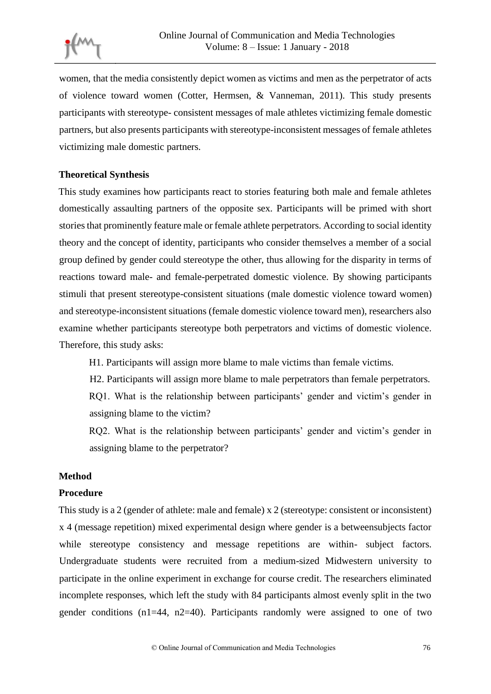women, that the media consistently depict women as victims and men as the perpetrator of acts of violence toward women (Cotter, Hermsen, & Vanneman, 2011). This study presents participants with stereotype- consistent messages of male athletes victimizing female domestic partners, but also presents participants with stereotype-inconsistent messages of female athletes victimizing male domestic partners.

# **Theoretical Synthesis**

This study examines how participants react to stories featuring both male and female athletes domestically assaulting partners of the opposite sex. Participants will be primed with short stories that prominently feature male or female athlete perpetrators. According to social identity theory and the concept of identity, participants who consider themselves a member of a social group defined by gender could stereotype the other, thus allowing for the disparity in terms of reactions toward male- and female-perpetrated domestic violence. By showing participants stimuli that present stereotype-consistent situations (male domestic violence toward women) and stereotype-inconsistent situations (female domestic violence toward men), researchers also examine whether participants stereotype both perpetrators and victims of domestic violence. Therefore, this study asks:

H1. Participants will assign more blame to male victims than female victims.

H2. Participants will assign more blame to male perpetrators than female perpetrators. RQ1. What is the relationship between participants' gender and victim's gender in assigning blame to the victim?

RQ2. What is the relationship between participants' gender and victim's gender in assigning blame to the perpetrator?

# **Method**

# **Procedure**

This study is a 2 (gender of athlete: male and female) x 2 (stereotype: consistent or inconsistent) x 4 (message repetition) mixed experimental design where gender is a betweensubjects factor while stereotype consistency and message repetitions are within- subject factors. Undergraduate students were recruited from a medium-sized Midwestern university to participate in the online experiment in exchange for course credit. The researchers eliminated incomplete responses, which left the study with 84 participants almost evenly split in the two gender conditions (n1=44, n2=40). Participants randomly were assigned to one of two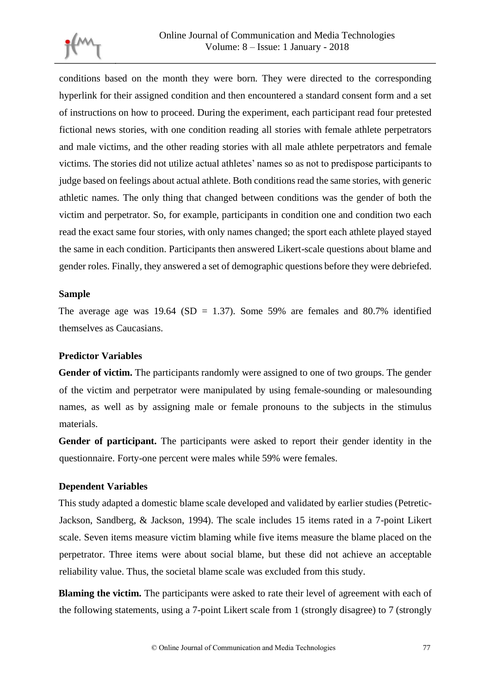

conditions based on the month they were born. They were directed to the corresponding hyperlink for their assigned condition and then encountered a standard consent form and a set of instructions on how to proceed. During the experiment, each participant read four pretested fictional news stories, with one condition reading all stories with female athlete perpetrators and male victims, and the other reading stories with all male athlete perpetrators and female victims. The stories did not utilize actual athletes' names so as not to predispose participants to judge based on feelings about actual athlete. Both conditions read the same stories, with generic athletic names. The only thing that changed between conditions was the gender of both the victim and perpetrator. So, for example, participants in condition one and condition two each read the exact same four stories, with only names changed; the sport each athlete played stayed the same in each condition. Participants then answered Likert-scale questions about blame and gender roles. Finally, they answered a set of demographic questions before they were debriefed.

### **Sample**

The average age was 19.64 (SD = 1.37). Some 59% are females and 80.7% identified themselves as Caucasians.

# **Predictor Variables**

**Gender of victim.** The participants randomly were assigned to one of two groups. The gender of the victim and perpetrator were manipulated by using female-sounding or malesounding names, as well as by assigning male or female pronouns to the subjects in the stimulus materials.

**Gender of participant.** The participants were asked to report their gender identity in the questionnaire. Forty-one percent were males while 59% were females.

# **Dependent Variables**

This study adapted a domestic blame scale developed and validated by earlier studies (Petretic-Jackson, Sandberg, & Jackson, 1994). The scale includes 15 items rated in a 7-point Likert scale. Seven items measure victim blaming while five items measure the blame placed on the perpetrator. Three items were about social blame, but these did not achieve an acceptable reliability value. Thus, the societal blame scale was excluded from this study.

**Blaming the victim.** The participants were asked to rate their level of agreement with each of the following statements, using a 7-point Likert scale from 1 (strongly disagree) to 7 (strongly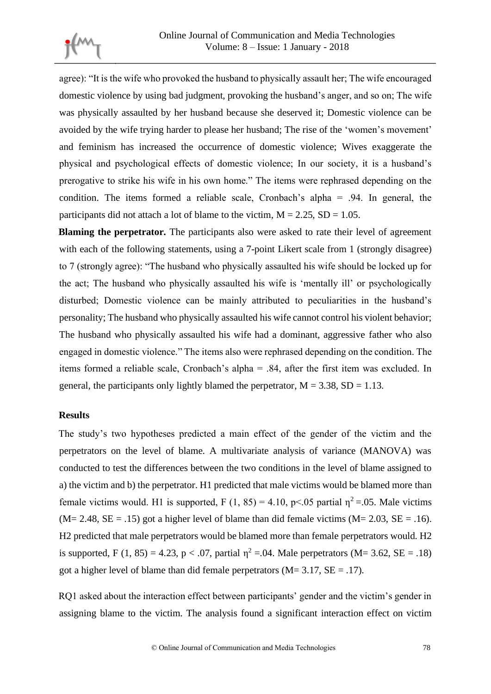

agree): "It is the wife who provoked the husband to physically assault her; The wife encouraged domestic violence by using bad judgment, provoking the husband's anger, and so on; The wife was physically assaulted by her husband because she deserved it; Domestic violence can be avoided by the wife trying harder to please her husband; The rise of the 'women's movement' and feminism has increased the occurrence of domestic violence; Wives exaggerate the physical and psychological effects of domestic violence; In our society, it is a husband's prerogative to strike his wife in his own home." The items were rephrased depending on the condition. The items formed a reliable scale, Cronbach's alpha = .94. In general, the participants did not attach a lot of blame to the victim,  $M = 2.25$ ,  $SD = 1.05$ .

**Blaming the perpetrator.** The participants also were asked to rate their level of agreement with each of the following statements, using a 7-point Likert scale from 1 (strongly disagree) to 7 (strongly agree): "The husband who physically assaulted his wife should be locked up for the act; The husband who physically assaulted his wife is 'mentally ill' or psychologically disturbed; Domestic violence can be mainly attributed to peculiarities in the husband's personality; The husband who physically assaulted his wife cannot control his violent behavior; The husband who physically assaulted his wife had a dominant, aggressive father who also engaged in domestic violence." The items also were rephrased depending on the condition. The items formed a reliable scale, Cronbach's alpha = .84, after the first item was excluded. In general, the participants only lightly blamed the perpetrator,  $M = 3.38$ ,  $SD = 1.13$ .

### **Results**

The study's two hypotheses predicted a main effect of the gender of the victim and the perpetrators on the level of blame. A multivariate analysis of variance (MANOVA) was conducted to test the differences between the two conditions in the level of blame assigned to a) the victim and b) the perpetrator. H1 predicted that male victims would be blamed more than female victims would. H1 is supported, F (1, 85) = 4.10, p<.05 partial  $\eta^2$  =.05. Male victims  $(M= 2.48, SE = .15)$  got a higher level of blame than did female victims  $(M= 2.03, SE = .16)$ . H2 predicted that male perpetrators would be blamed more than female perpetrators would. H2 is supported, F (1, 85) = 4.23, p < .07, partial  $\eta^2 = 0.04$ . Male perpetrators (M= 3.62, SE = .18) got a higher level of blame than did female perpetrators ( $M = 3.17$ ,  $SE = .17$ ).

RQ1 asked about the interaction effect between participants' gender and the victim's gender in assigning blame to the victim. The analysis found a significant interaction effect on victim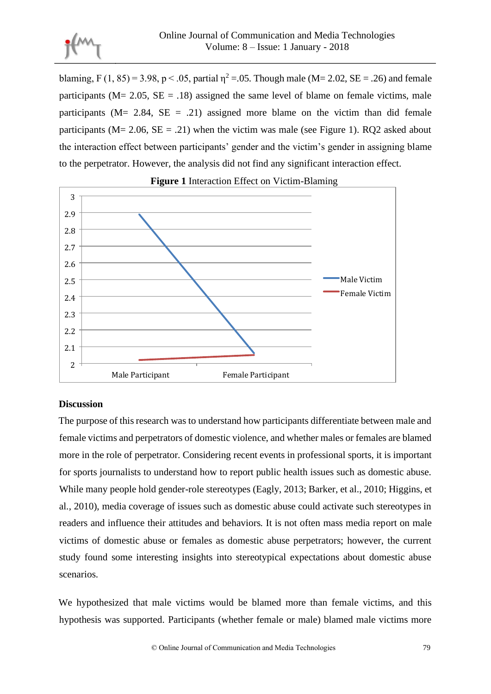

blaming, F (1, 85) = 3.98, p < .05, partial  $\eta^2$  = .05. Though male (M= 2.02, SE = .26) and female participants ( $M = 2.05$ ,  $SE = .18$ ) assigned the same level of blame on female victims, male participants ( $M = 2.84$ ,  $SE = .21$ ) assigned more blame on the victim than did female participants ( $M = 2.06$ ,  $SE = .21$ ) when the victim was male (see Figure 1). RQ2 asked about the interaction effect between participants' gender and the victim's gender in assigning blame to the perpetrator. However, the analysis did not find any significant interaction effect.



### **Figure 1** Interaction Effect on Victim-Blaming

# **Discussion**

The purpose of this research was to understand how participants differentiate between male and female victims and perpetrators of domestic violence, and whether males or females are blamed more in the role of perpetrator. Considering recent events in professional sports, it is important for sports journalists to understand how to report public health issues such as domestic abuse. While many people hold gender-role stereotypes (Eagly, 2013; Barker, et al., 2010; Higgins, et al., 2010), media coverage of issues such as domestic abuse could activate such stereotypes in readers and influence their attitudes and behaviors. It is not often mass media report on male victims of domestic abuse or females as domestic abuse perpetrators; however, the current study found some interesting insights into stereotypical expectations about domestic abuse scenarios.

We hypothesized that male victims would be blamed more than female victims, and this hypothesis was supported. Participants (whether female or male) blamed male victims more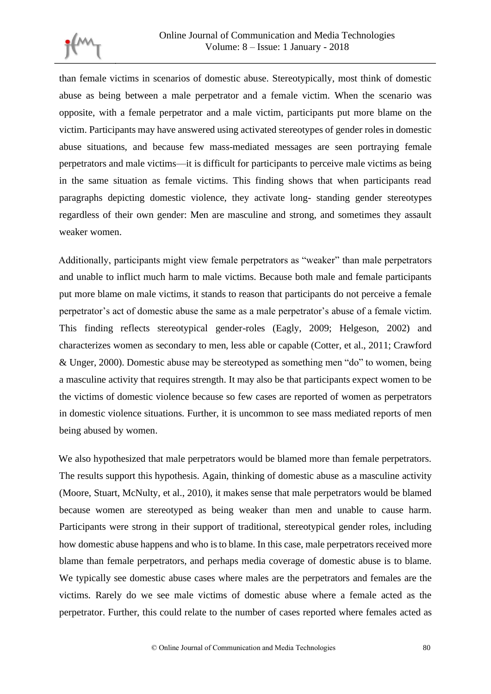

than female victims in scenarios of domestic abuse. Stereotypically, most think of domestic abuse as being between a male perpetrator and a female victim. When the scenario was opposite, with a female perpetrator and a male victim, participants put more blame on the victim. Participants may have answered using activated stereotypes of gender roles in domestic abuse situations, and because few mass-mediated messages are seen portraying female perpetrators and male victims—it is difficult for participants to perceive male victims as being in the same situation as female victims. This finding shows that when participants read paragraphs depicting domestic violence, they activate long- standing gender stereotypes regardless of their own gender: Men are masculine and strong, and sometimes they assault weaker women.

Additionally, participants might view female perpetrators as "weaker" than male perpetrators and unable to inflict much harm to male victims. Because both male and female participants put more blame on male victims, it stands to reason that participants do not perceive a female perpetrator's act of domestic abuse the same as a male perpetrator's abuse of a female victim. This finding reflects stereotypical gender-roles (Eagly, 2009; Helgeson, 2002) and characterizes women as secondary to men, less able or capable (Cotter, et al., 2011; Crawford & Unger, 2000). Domestic abuse may be stereotyped as something men "do" to women, being a masculine activity that requires strength. It may also be that participants expect women to be the victims of domestic violence because so few cases are reported of women as perpetrators in domestic violence situations. Further, it is uncommon to see mass mediated reports of men being abused by women.

We also hypothesized that male perpetrators would be blamed more than female perpetrators. The results support this hypothesis. Again, thinking of domestic abuse as a masculine activity (Moore, Stuart, McNulty, et al., 2010), it makes sense that male perpetrators would be blamed because women are stereotyped as being weaker than men and unable to cause harm. Participants were strong in their support of traditional, stereotypical gender roles, including how domestic abuse happens and who is to blame. In this case, male perpetrators received more blame than female perpetrators, and perhaps media coverage of domestic abuse is to blame. We typically see domestic abuse cases where males are the perpetrators and females are the victims. Rarely do we see male victims of domestic abuse where a female acted as the perpetrator. Further, this could relate to the number of cases reported where females acted as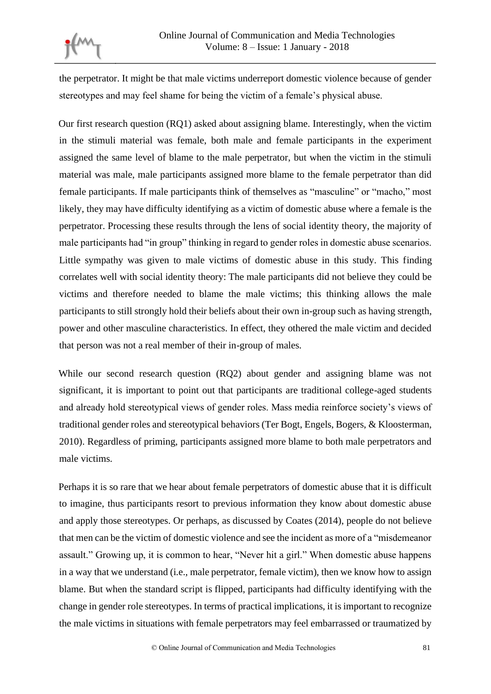the perpetrator. It might be that male victims underreport domestic violence because of gender stereotypes and may feel shame for being the victim of a female's physical abuse.

Our first research question (RQ1) asked about assigning blame. Interestingly, when the victim in the stimuli material was female, both male and female participants in the experiment assigned the same level of blame to the male perpetrator, but when the victim in the stimuli material was male, male participants assigned more blame to the female perpetrator than did female participants. If male participants think of themselves as "masculine" or "macho," most likely, they may have difficulty identifying as a victim of domestic abuse where a female is the perpetrator. Processing these results through the lens of social identity theory, the majority of male participants had "in group" thinking in regard to gender roles in domestic abuse scenarios. Little sympathy was given to male victims of domestic abuse in this study. This finding correlates well with social identity theory: The male participants did not believe they could be victims and therefore needed to blame the male victims; this thinking allows the male participants to still strongly hold their beliefs about their own in-group such as having strength, power and other masculine characteristics. In effect, they othered the male victim and decided that person was not a real member of their in-group of males.

While our second research question (RQ2) about gender and assigning blame was not significant, it is important to point out that participants are traditional college-aged students and already hold stereotypical views of gender roles. Mass media reinforce society's views of traditional gender roles and stereotypical behaviors (Ter Bogt, Engels, Bogers, & Kloosterman, 2010). Regardless of priming, participants assigned more blame to both male perpetrators and male victims.

Perhaps it is so rare that we hear about female perpetrators of domestic abuse that it is difficult to imagine, thus participants resort to previous information they know about domestic abuse and apply those stereotypes. Or perhaps, as discussed by Coates (2014), people do not believe that men can be the victim of domestic violence and see the incident as more of a "misdemeanor assault." Growing up, it is common to hear, "Never hit a girl." When domestic abuse happens in a way that we understand (i.e., male perpetrator, female victim), then we know how to assign blame. But when the standard script is flipped, participants had difficulty identifying with the change in gender role stereotypes. In terms of practical implications, it is important to recognize the male victims in situations with female perpetrators may feel embarrassed or traumatized by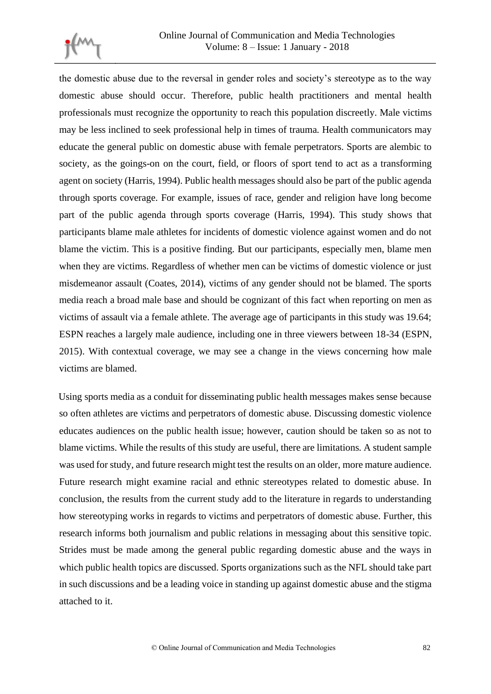

the domestic abuse due to the reversal in gender roles and society's stereotype as to the way domestic abuse should occur. Therefore, public health practitioners and mental health professionals must recognize the opportunity to reach this population discreetly. Male victims may be less inclined to seek professional help in times of trauma. Health communicators may educate the general public on domestic abuse with female perpetrators. Sports are alembic to society, as the goings-on on the court, field, or floors of sport tend to act as a transforming agent on society (Harris, 1994). Public health messages should also be part of the public agenda through sports coverage. For example, issues of race, gender and religion have long become part of the public agenda through sports coverage (Harris, 1994). This study shows that participants blame male athletes for incidents of domestic violence against women and do not blame the victim. This is a positive finding. But our participants, especially men, blame men when they are victims. Regardless of whether men can be victims of domestic violence or just misdemeanor assault (Coates, 2014), victims of any gender should not be blamed. The sports media reach a broad male base and should be cognizant of this fact when reporting on men as victims of assault via a female athlete. The average age of participants in this study was 19.64; ESPN reaches a largely male audience, including one in three viewers between 18-34 (ESPN, 2015). With contextual coverage, we may see a change in the views concerning how male victims are blamed.

Using sports media as a conduit for disseminating public health messages makes sense because so often athletes are victims and perpetrators of domestic abuse. Discussing domestic violence educates audiences on the public health issue; however, caution should be taken so as not to blame victims. While the results of this study are useful, there are limitations. A student sample was used for study, and future research might test the results on an older, more mature audience. Future research might examine racial and ethnic stereotypes related to domestic abuse. In conclusion, the results from the current study add to the literature in regards to understanding how stereotyping works in regards to victims and perpetrators of domestic abuse. Further, this research informs both journalism and public relations in messaging about this sensitive topic. Strides must be made among the general public regarding domestic abuse and the ways in which public health topics are discussed. Sports organizations such as the NFL should take part in such discussions and be a leading voice in standing up against domestic abuse and the stigma attached to it.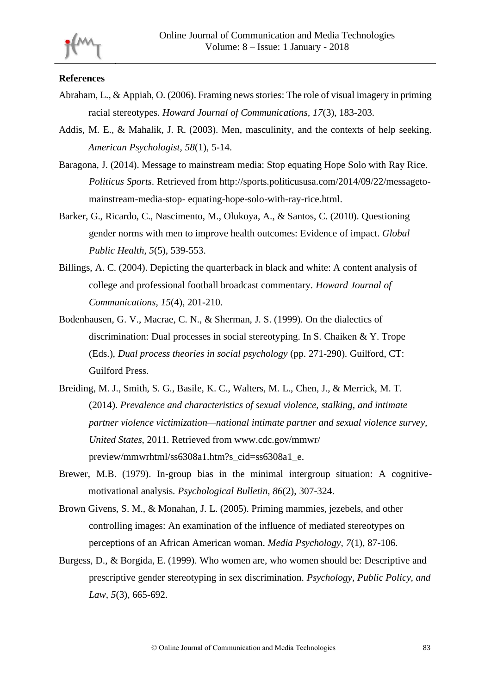### **References**

- Abraham, L., & Appiah, O. (2006). Framing news stories: The role of visual imagery in priming racial stereotypes. *Howard Journal of Communications, 17*(3), 183-203.
- Addis, M. E., & Mahalik, J. R. (2003). Men, masculinity, and the contexts of help seeking. *American Psychologist, 58*(1), 5-14.
- Baragona, J. (2014). Message to mainstream media: Stop equating Hope Solo with Ray Rice. *Politicus Sports*. Retrieved from http://sports.politicususa.com/2014/09/22/messagetomainstream-media-stop- equating-hope-solo-with-ray-rice.html.
- Barker, G., Ricardo, C., Nascimento, M., Olukoya, A., & Santos, C. (2010). Questioning gender norms with men to improve health outcomes: Evidence of impact. *Global Public Health, 5*(5), 539-553.
- Billings, A. C. (2004). Depicting the quarterback in black and white: A content analysis of college and professional football broadcast commentary. *Howard Journal of Communications, 15*(4), 201-210.
- Bodenhausen, G. V., Macrae, C. N., & Sherman, J. S. (1999). On the dialectics of discrimination: Dual processes in social stereotyping. In S. Chaiken & Y. Trope (Eds.), *Dual process theories in social psychology* (pp. 271-290). Guilford, CT: Guilford Press.
- Breiding, M. J., Smith, S. G., Basile, K. C., Walters, M. L., Chen, J., & Merrick, M. T. (2014). *Prevalence and characteristics of sexual violence, stalking, and intimate partner violence victimization—national intimate partner and sexual violence survey, United States*, 2011. Retrieved from www.cdc.gov/mmwr/ preview/mmwrhtml/ss6308a1.htm?s\_cid=ss6308a1\_e.
- Brewer, M.B. (1979). In-group bias in the minimal intergroup situation: A cognitivemotivational analysis. *Psychological Bulletin, 86*(2), 307-324.
- Brown Givens, S. M., & Monahan, J. L. (2005). Priming mammies, jezebels, and other controlling images: An examination of the influence of mediated stereotypes on perceptions of an African American woman. *Media Psychology, 7*(1), 87-106.
- Burgess, D., & Borgida, E. (1999). Who women are, who women should be: Descriptive and prescriptive gender stereotyping in sex discrimination. *Psychology, Public Policy, and Law, 5*(3), 665-692.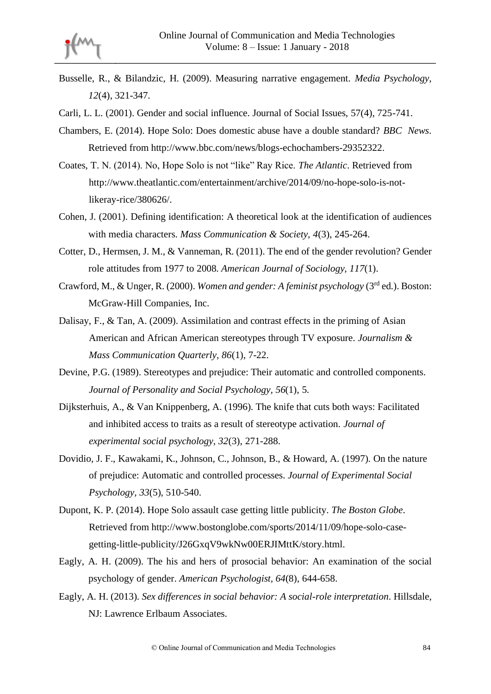- Busselle, R., & Bilandzic, H. (2009). Measuring narrative engagement. *Media Psychology, 12*(4), 321-347.
- Carli, L. L. (2001). Gender and social influence. Journal of Social Issues, 57(4), 725-741.
- Chambers, E. (2014). Hope Solo: Does domestic abuse have a double standard? *BBC News*. Retrieved from http://www.bbc.com/news/blogs-echochambers-29352322.
- Coates, T. N. (2014). No, Hope Solo is not "like" Ray Rice. *The Atlantic*. Retrieved from http://www.theatlantic.com/entertainment/archive/2014/09/no-hope-solo-is-notlikeray-rice/380626/.
- Cohen, J. (2001). Defining identification: A theoretical look at the identification of audiences with media characters. *Mass Communication & Society, 4*(3), 245-264.
- Cotter, D., Hermsen, J. M., & Vanneman, R. (2011). The end of the gender revolution? Gender role attitudes from 1977 to 2008. *American Journal of Sociology, 117*(1).
- Crawford, M., & Unger, R. (2000). *Women and gender: A feminist psychology* (3rd ed.). Boston: McGraw-Hill Companies, Inc.
- Dalisay, F., & Tan, A. (2009). Assimilation and contrast effects in the priming of Asian American and African American stereotypes through TV exposure. *Journalism & Mass Communication Quarterly, 86*(1), 7-22.
- Devine, P.G. (1989). Stereotypes and prejudice: Their automatic and controlled components. *Journal of Personality and Social Psychology, 56*(1), 5.
- Dijksterhuis, A., & Van Knippenberg, A. (1996). The knife that cuts both ways: Facilitated and inhibited access to traits as a result of stereotype activation. *Journal of experimental social psychology, 32*(3), 271-288.
- Dovidio, J. F., Kawakami, K., Johnson, C., Johnson, B., & Howard, A. (1997). On the nature of prejudice: Automatic and controlled processes. *Journal of Experimental Social Psychology, 33*(5), 510-540.
- Dupont, K. P. (2014). Hope Solo assault case getting little publicity. *The Boston Globe*. Retrieved from http://www.bostonglobe.com/sports/2014/11/09/hope-solo-casegetting-little-publicity/J26GxqV9wkNw00ERJIMttK/story.html.
- Eagly, A. H. (2009). The his and hers of prosocial behavior: An examination of the social psychology of gender. *American Psychologist, 64*(8), 644-658.
- Eagly, A. H. (2013). *Sex differences in social behavior: A social-role interpretation*. Hillsdale, NJ: Lawrence Erlbaum Associates.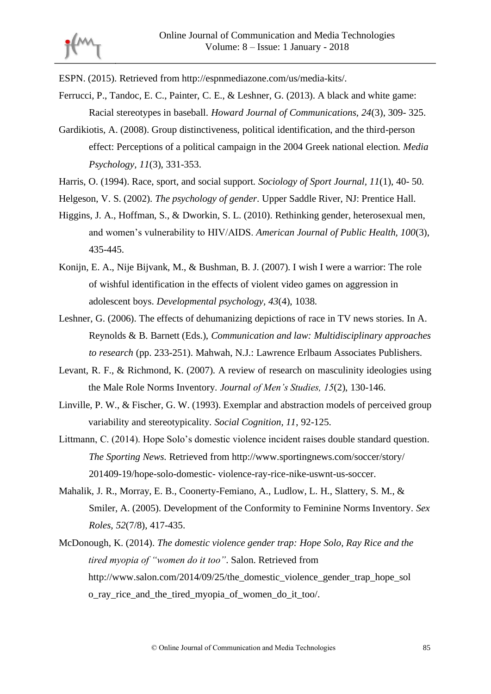ESPN. (2015). Retrieved from http://espnmediazone.com/us/media-kits/.

- Ferrucci, P., Tandoc, E. C., Painter, C. E., & Leshner, G. (2013). A black and white game: Racial stereotypes in baseball. *Howard Journal of Communications, 24*(3), 309- 325.
- Gardikiotis, A. (2008). Group distinctiveness, political identification, and the third-person effect: Perceptions of a political campaign in the 2004 Greek national election. *Media Psychology, 11*(3), 331-353.

Harris, O. (1994). Race, sport, and social support. *Sociology of Sport Journal, 11*(1), 40- 50.

- Helgeson, V. S. (2002). *The psychology of gender*. Upper Saddle River, NJ: Prentice Hall.
- Higgins, J. A., Hoffman, S., & Dworkin, S. L. (2010). Rethinking gender, heterosexual men, and women's vulnerability to HIV/AIDS. *American Journal of Public Health, 100*(3), 435-445.
- Konijn, E. A., Nije Bijvank, M., & Bushman, B. J. (2007). I wish I were a warrior: The role of wishful identification in the effects of violent video games on aggression in adolescent boys. *Developmental psychology, 43*(4), 1038.
- Leshner, G. (2006). The effects of dehumanizing depictions of race in TV news stories. In A. Reynolds & B. Barnett (Eds.), *Communication and law: Multidisciplinary approaches to research* (pp. 233-251). Mahwah, N.J.: Lawrence Erlbaum Associates Publishers.
- Levant, R. F., & Richmond, K. (2007). A review of research on masculinity ideologies using the Male Role Norms Inventory. *Journal of Men's Studies, 15*(2), 130-146.
- Linville, P. W., & Fischer, G. W. (1993). Exemplar and abstraction models of perceived group variability and stereotypicality. *Social Cognition, 11*, 92-125.
- Littmann, C. (2014). Hope Solo's domestic violence incident raises double standard question. *The Sporting News*. Retrieved from http://www.sportingnews.com/soccer/story/ 201409-19/hope-solo-domestic- violence-ray-rice-nike-uswnt-us-soccer.
- Mahalik, J. R., Morray, E. B., Coonerty-Femiano, A., Ludlow, L. H., Slattery, S. M., & Smiler, A. (2005). Development of the Conformity to Feminine Norms Inventory. *Sex Roles, 52*(7/8), 417-435.
- McDonough, K. (2014). *The domestic violence gender trap: Hope Solo, Ray Rice and the tired myopia of "women do it too"*. Salon. Retrieved from http://www.salon.com/2014/09/25/the\_domestic\_violence\_gender\_trap\_hope\_sol o\_ray\_rice\_and\_the\_tired\_myopia\_of\_women\_do\_it\_too/.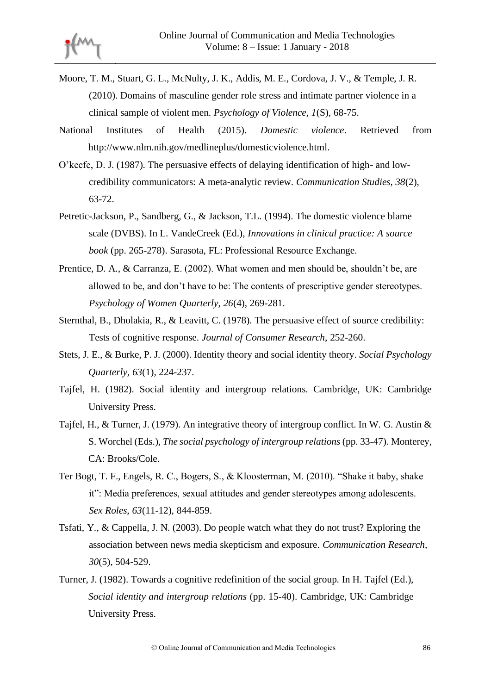

- Moore, T. M., Stuart, G. L., McNulty, J. K., Addis, M. E., Cordova, J. V., & Temple, J. R. (2010). Domains of masculine gender role stress and intimate partner violence in a clinical sample of violent men. *Psychology of Violence, 1*(S), 68-75.
- National Institutes of Health (2015). *Domestic violence*. Retrieved from http://www.nlm.nih.gov/medlineplus/domesticviolence.html.
- O'keefe, D. J. (1987). The persuasive effects of delaying identification of high- and lowcredibility communicators: A meta-analytic review. *Communication Studies, 38*(2), 63-72.
- Petretic-Jackson, P., Sandberg, G., & Jackson, T.L. (1994). The domestic violence blame scale (DVBS). In L. VandeCreek (Ed.), *Innovations in clinical practice: A source book* (pp. 265-278). Sarasota, FL: Professional Resource Exchange.
- Prentice, D. A., & Carranza, E. (2002). What women and men should be, shouldn't be, are allowed to be, and don't have to be: The contents of prescriptive gender stereotypes. *Psychology of Women Quarterly, 26*(4), 269-281.
- Sternthal, B., Dholakia, R., & Leavitt, C. (1978). The persuasive effect of source credibility: Tests of cognitive response. *Journal of Consumer Research*, 252-260.
- Stets, J. E., & Burke, P. J. (2000). Identity theory and social identity theory. *Social Psychology Quarterly, 63*(1), 224-237.
- Tajfel, H. (1982). Social identity and intergroup relations. Cambridge, UK: Cambridge University Press.
- Tajfel, H., & Turner, J. (1979). An integrative theory of intergroup conflict. In W. G. Austin & S. Worchel (Eds.), *The social psychology of intergroup relations* (pp. 33-47). Monterey, CA: Brooks/Cole.
- Ter Bogt, T. F., Engels, R. C., Bogers, S., & Kloosterman, M. (2010). "Shake it baby, shake it": Media preferences, sexual attitudes and gender stereotypes among adolescents. *Sex Roles, 63*(11-12), 844-859.
- Tsfati, Y., & Cappella, J. N. (2003). Do people watch what they do not trust? Exploring the association between news media skepticism and exposure. *Communication Research, 30*(5), 504-529.
- Turner, J. (1982). Towards a cognitive redefinition of the social group. In H. Tajfel (Ed.), *Social identity and intergroup relations* (pp. 15-40). Cambridge, UK: Cambridge University Press.